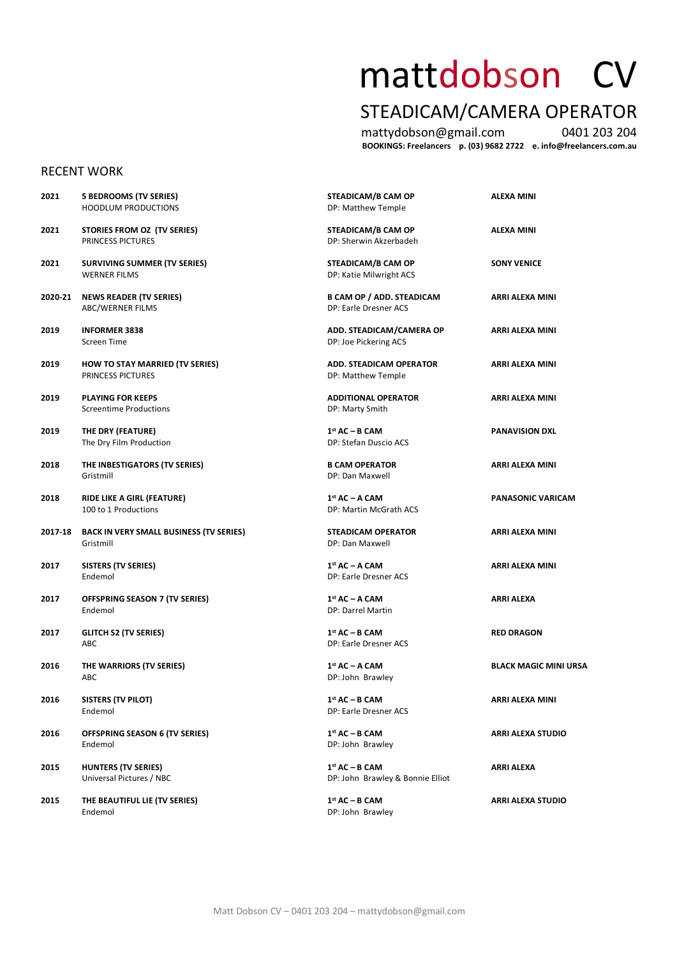# mattdobson CV

## STEADICAM/CAMERA OPERATOR

mattydobson@gmail.com 0401 203 204 **BOOKINGS: Freelancers p. (03) 9682 2722 e. info@freelancers.com.au**

#### RECENT WORK

| 2021    | 5 BEDROOMS (TV SERIES)<br><b>HOODLUM PRODUCTIONS</b>        | STEADICAM/B CAM OP<br>DP: Matthew Temple                  | ALEXA MINI                   |
|---------|-------------------------------------------------------------|-----------------------------------------------------------|------------------------------|
| 2021    | STORIES FROM OZ (TV SERIES)<br>PRINCESS PICTURES            | STEADICAM/B CAM OP<br>DP: Sherwin Akzerbadeh              | ALEXA MINI                   |
| 2021    | <b>SURVIVING SUMMER (TV SERIES)</b><br><b>WERNER FILMS</b>  | STEADICAM/B CAM OP<br>DP: Katie Milwright ACS             | <b>SONY VENICE</b>           |
| 2020-21 | <b>NEWS READER (TV SERIES)</b><br>ABC/WERNER FILMS          | <b>B CAM OP / ADD. STEADICAM</b><br>DP: Earle Dresner ACS | ARRI ALEXA MINI              |
| 2019    | <b>INFORMER 3838</b><br>Screen Time                         | ADD. STEADICAM/CAMERA OP<br>DP: Joe Pickering ACS         | ARRI ALEXA MINI              |
| 2019    | <b>HOW TO STAY MARRIED (TV SERIES)</b><br>PRINCESS PICTURES | <b>ADD. STEADICAM OPERATOR</b><br>DP: Matthew Temple      | ARRI ALEXA MINI              |
| 2019    | <b>PLAYING FOR KEEPS</b><br><b>Screentime Productions</b>   | <b>ADDITIONAL OPERATOR</b><br>DP: Marty Smith             | ARRI ALEXA MINI              |
| 2019    | THE DRY (FEATURE)<br>The Dry Film Production                | $1st AC - B CAM$<br>DP: Stefan Duscio ACS                 | <b>PANAVISION DXL</b>        |
| 2018    | THE INBESTIGATORS (TV SERIES)<br>Gristmill                  | <b>B CAM OPERATOR</b><br>DP: Dan Maxwell                  | ARRI ALEXA MINI              |
| 2018    | RIDE LIKE A GIRL (FEATURE)<br>100 to 1 Productions          | $1st AC - A CAM$<br>DP: Martin McGrath ACS                | <b>PANASONIC VARICAM</b>     |
| 2017-18 | <b>BACK IN VERY SMALL BUSINESS (TV SERIES)</b><br>Gristmill | <b>STEADICAM OPERATOR</b><br>DP: Dan Maxwell              | ARRI ALEXA MINI              |
| 2017    | <b>SISTERS (TV SERIES)</b><br>Endemol                       | 1st AC - A CAM<br>DP: Earle Dresner ACS                   | ARRI ALEXA MINI              |
| 2017    | OFFSPRING SEASON 7 (TV SERIES)<br>Endemol                   | 1st AC - A CAM<br>DP: Darrel Martin                       | ARRI ALEXA                   |
| 2017    | <b>GLITCH S2 (TV SERIES)</b><br>ABC                         | $1st AC - B CAM$<br>DP: Earle Dresner ACS                 | <b>RED DRAGON</b>            |
| 2016    | THE WARRIORS (TV SERIES)<br>ABC                             | $1st AC - A CAM$<br>DP: John Brawley                      | <b>BLACK MAGIC MINI URSA</b> |
| 2016    | <b>SISTERS (TV PILOT)</b><br>Endemol                        | 1st AC - B CAM<br>DP: Earle Dresner ACS                   | ARRI ALEXA MINI              |
| 2016    | <b>OFFSPRING SEASON 6 (TV SERIES)</b><br>Endemol            | 1st AC - B CAM<br>DP: John Brawley                        | <b>ARRI ALEXA STUDIO</b>     |
| 2015    | <b>HUNTERS (TV SERIES)</b><br>Universal Pictures / NBC      | $1st AC - B CAM$<br>DP: John Brawley & Bonnie Elliot      | ARRI ALEXA                   |
| 2015    | THE BEAUTIFUL LIE (TV SERIES)<br>Endemol                    | 1st AC - B CAM<br>DP: John Brawley                        | <b>ARRI ALEXA STUDIO</b>     |

DP: John Brawley